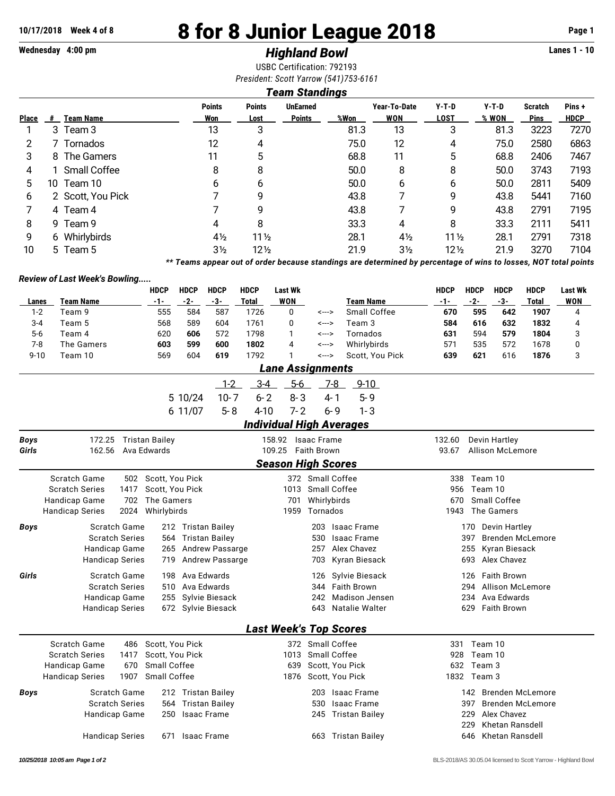# **10/17/2018 Week 4 of 8 8 for 8 Junior League 2018 Page 1**

# **Wednesday 4:00 pm** *Highland Bowl* **Lanes 1 - 10**

USBC Certification: 792193 *President: Scott Yarrow (541)753-6161*

## *Team Standings*

| <b>Place</b> | #  | <b>Team Name</b>  | <b>Points</b><br>Won | <b>Points</b><br>Lost | <b>UnEarned</b><br><b>Points</b> | %Won | Year-To-Date<br>WON | $Y-T-D$<br><b>LOST</b> | $Y-T-D$<br>% WON | <b>Scratch</b><br><b>Pins</b> | Pins+<br><b>HDCP</b> |
|--------------|----|-------------------|----------------------|-----------------------|----------------------------------|------|---------------------|------------------------|------------------|-------------------------------|----------------------|
|              |    | 3 Team 3          | 13                   | 3                     |                                  | 81.3 | 13                  | 3                      | 81.3             | 3223                          | 7270                 |
|              |    | 7 Tornados        | 12                   | 4                     |                                  | 75.0 | 12                  | 4                      | 75.0             | 2580                          | 6863                 |
| 3            |    | 8 The Gamers      | 11                   | 5                     |                                  | 68.8 | 11                  | 5                      | 68.8             | 2406                          | 7467                 |
| 4            |    | 1 Small Coffee    | 8                    | 8                     |                                  | 50.0 | 8                   | 8                      | 50.0             | 3743                          | 7193                 |
| 5            | 10 | Team 10           | 6                    | 6                     |                                  | 50.0 | 6                   | 6                      | 50.0             | 2811                          | 5409                 |
| 6            |    | 2 Scott, You Pick |                      | 9                     |                                  | 43.8 |                     | 9                      | 43.8             | 5441                          | 7160                 |
|              |    | 4 Team 4          |                      | q                     |                                  | 43.8 |                     | 9                      | 43.8             | 2791                          | 7195                 |
| 8            |    | 9 Team 9          | 4                    | 8                     |                                  | 33.3 | 4                   | 8                      | 33.3             | 2111                          | 5411                 |
| 9            |    | 6 Whirlybirds     | $4\frac{1}{2}$       | $11\frac{1}{2}$       |                                  | 28.1 | $4\frac{1}{2}$      | $11\frac{1}{2}$        | 28.1             | 2791                          | 7318                 |
| 10           |    | 5 Team 5          | $3\frac{1}{2}$       | $12\frac{1}{2}$       |                                  | 21.9 | $3\frac{1}{2}$      | $12\frac{1}{2}$        | 21.9             | 3270                          | 7104                 |

*\*\* Teams appear out of order because standings are determined by percentage of wins to losses, NOT total points*

#### *Review of Last Week's Bowling.....*

|             |                                 | <b>HDCP</b>         | <b>HDCP</b>     | <b>HDCP</b>           | <b>HDCP</b>  | <b>Last Wk</b>                  |                      |         |                    | <b>HDCP</b>     | <b>HDCP</b> | <b>HDCP</b>                                     | <b>HDCP</b>             | <b>Last Wk</b> |
|-------------|---------------------------------|---------------------|-----------------|-----------------------|--------------|---------------------------------|----------------------|---------|--------------------|-----------------|-------------|-------------------------------------------------|-------------------------|----------------|
| Lanes       | <b>Team Name</b>                | $-1-$               | $-2-$           | $-3-$                 | <b>Total</b> | <b>WON</b>                      |                      |         | <b>Team Name</b>   | $-1-$           | $-2-$       | $-3-$                                           | <b>Total</b>            | <b>WON</b>     |
| $1 - 2$     | Team 9                          | 555                 | 584             | 587                   | 1726         | 0                               | <--->                |         | Small Coffee       | 670             | 595         | 642                                             | 1907                    | 4              |
| $3 - 4$     | Team 5                          | 568                 | 589             | 604                   | 1761         | $\Omega$                        | <--->                |         | Team 3             | 584             | 616         | 632                                             | 1832                    | $\overline{4}$ |
| $5-6$       | Team 4                          | 620                 | 606             | 572                   | 1798         | 1                               | <--->                |         | Tornados           | 631             | 594         | 579                                             | 1804                    | 3              |
| $7 - 8$     | The Gamers                      | 603                 | 599             | 600                   | 1802         | 4                               | <--->                |         | Whirlybirds        | 571             | 535         | 572                                             | 1678                    | 0              |
| $9 - 10$    | Team 10                         | 569                 | 604             | 619                   | 1792         | 1                               | <--->                |         | Scott, You Pick    | 639             | 621         | 616                                             | 1876                    | 3              |
|             |                                 |                     |                 |                       |              | <b>Lane Assignments</b>         |                      |         |                    |                 |             |                                                 |                         |                |
|             |                                 |                     |                 | $1 - 2$               | $3 - 4$      | $5-6$                           |                      | $7 - 8$ | $9 - 10$           |                 |             |                                                 |                         |                |
|             |                                 |                     | 5 10/24         | $10 - 7$              | $6 - 2$      | $8 - 3$                         |                      | $4 - 1$ | $5 - 9$            |                 |             |                                                 |                         |                |
|             |                                 |                     | 6 11/07         | $5 - 8$               | $4 - 10$     | $7 - 2$                         |                      | $6 - 9$ | $1 - 3$            |                 |             |                                                 |                         |                |
|             |                                 |                     |                 |                       |              | <b>Individual High Averages</b> |                      |         |                    |                 |             |                                                 |                         |                |
|             |                                 |                     |                 |                       |              |                                 |                      |         |                    |                 |             |                                                 |                         |                |
| <b>Boys</b> | 172.25 Tristan Bailey<br>162.56 | Ava Edwards         |                 |                       |              | 158.92 Isaac Frame<br>109.25    | <b>Faith Brown</b>   |         |                    | 132.60<br>93.67 |             | <b>Devin Hartley</b><br><b>Allison McLemore</b> |                         |                |
| Girls       |                                 |                     |                 |                       |              |                                 |                      |         |                    |                 |             |                                                 |                         |                |
|             |                                 |                     |                 |                       |              | <b>Season High Scores</b>       |                      |         |                    |                 |             |                                                 |                         |                |
|             | Scratch Game<br>502             | Scott, You Pick     |                 |                       |              |                                 | 372 Small Coffee     |         |                    | 338             | Team 10     |                                                 |                         |                |
|             | <b>Scratch Series</b><br>1417   | Scott. You Pick     |                 |                       |              |                                 | 1013 Small Coffee    |         |                    | 956             | Team 10     |                                                 |                         |                |
|             | 702<br>Handicap Game            | The Gamers          |                 |                       |              | 701                             | Whirlybirds          |         |                    | 670             |             | Small Coffee                                    |                         |                |
|             | <b>Handicap Series</b><br>2024  | Whirlybirds         |                 |                       |              | 1959                            | Tornados             |         |                    | 1943            |             | The Gamers                                      |                         |                |
| Boys        | Scratch Game                    |                     |                 | 212 Tristan Bailey    |              |                                 | 203                  |         | <b>Isaac Frame</b> |                 |             | 170 Devin Hartley                               |                         |                |
|             | <b>Scratch Series</b>           |                     |                 | 564 Tristan Bailey    |              |                                 | 530                  |         | <b>Isaac Frame</b> |                 | 397         |                                                 | <b>Brenden McLemore</b> |                |
|             | Handicap Game                   | 265                 |                 | Andrew Passarge       |              |                                 | 257                  |         | Alex Chavez        |                 | 255         | Kyran Biesack                                   |                         |                |
|             | <b>Handicap Series</b>          | 719                 |                 | Andrew Passarge       |              |                                 | 703                  |         | Kyran Biesack      |                 | 693         | Alex Chavez                                     |                         |                |
| Girls       | Scratch Game                    | 198                 |                 | Ava Edwards           |              |                                 | 126                  |         | Sylvie Biesack     |                 | 126         | <b>Faith Brown</b>                              |                         |                |
|             | <b>Scratch Series</b>           |                     | 510 Ava Edwards |                       |              |                                 | 344                  |         | <b>Faith Brown</b> |                 | 294         | <b>Allison McLemore</b>                         |                         |                |
|             | Handicap Game                   |                     |                 | 255 Sylvie Biesack    |              |                                 | 242                  |         | Madison Jensen     |                 | 234         | Ava Edwards                                     |                         |                |
|             | <b>Handicap Series</b>          |                     |                 | 672 Sylvie Biesack    |              |                                 | 643                  |         | Natalie Walter     |                 | 629         | <b>Faith Brown</b>                              |                         |                |
|             |                                 |                     |                 |                       |              | <b>Last Week's Top Scores</b>   |                      |         |                    |                 |             |                                                 |                         |                |
|             | <b>Scratch Game</b>             | 486 Scott, You Pick |                 |                       |              |                                 | 372 Small Coffee     |         |                    | 331             | Team 10     |                                                 |                         |                |
|             | <b>Scratch Series</b><br>1417   | Scott, You Pick     |                 |                       |              | 1013                            | Small Coffee         |         |                    | 928             | Team 10     |                                                 |                         |                |
|             | Handicap Game<br>670            | Small Coffee        |                 |                       |              | 639                             |                      |         | Scott, You Pick    | 632             | Team 3      |                                                 |                         |                |
|             | 1907<br><b>Handicap Series</b>  | Small Coffee        |                 |                       |              |                                 | 1876 Scott, You Pick |         |                    |                 | 1832 Team 3 |                                                 |                         |                |
| <b>Boys</b> | <b>Scratch Game</b>             |                     |                 | 212 Tristan Bailey    |              |                                 | 203                  |         | <b>Isaac Frame</b> |                 | 142         |                                                 | <b>Brenden McLemore</b> |                |
|             | <b>Scratch Series</b>           | 564                 |                 | <b>Tristan Bailey</b> |              |                                 | 530                  |         | <b>Isaac Frame</b> |                 | 397         |                                                 | <b>Brenden McLemore</b> |                |
|             | Handicap Game                   | 250                 |                 | <b>Isaac Frame</b>    |              |                                 |                      |         | 245 Tristan Bailey |                 | 229         | Alex Chavez                                     |                         |                |
|             |                                 |                     |                 |                       |              |                                 |                      |         |                    |                 | 229         | Khetan Ransdell                                 |                         |                |
|             | <b>Handicap Series</b>          | 671                 |                 | <b>Isaac Frame</b>    |              |                                 |                      |         | 663 Tristan Bailey |                 | 646         | Khetan Ransdell                                 |                         |                |
|             |                                 |                     |                 |                       |              |                                 |                      |         |                    |                 |             |                                                 |                         |                |